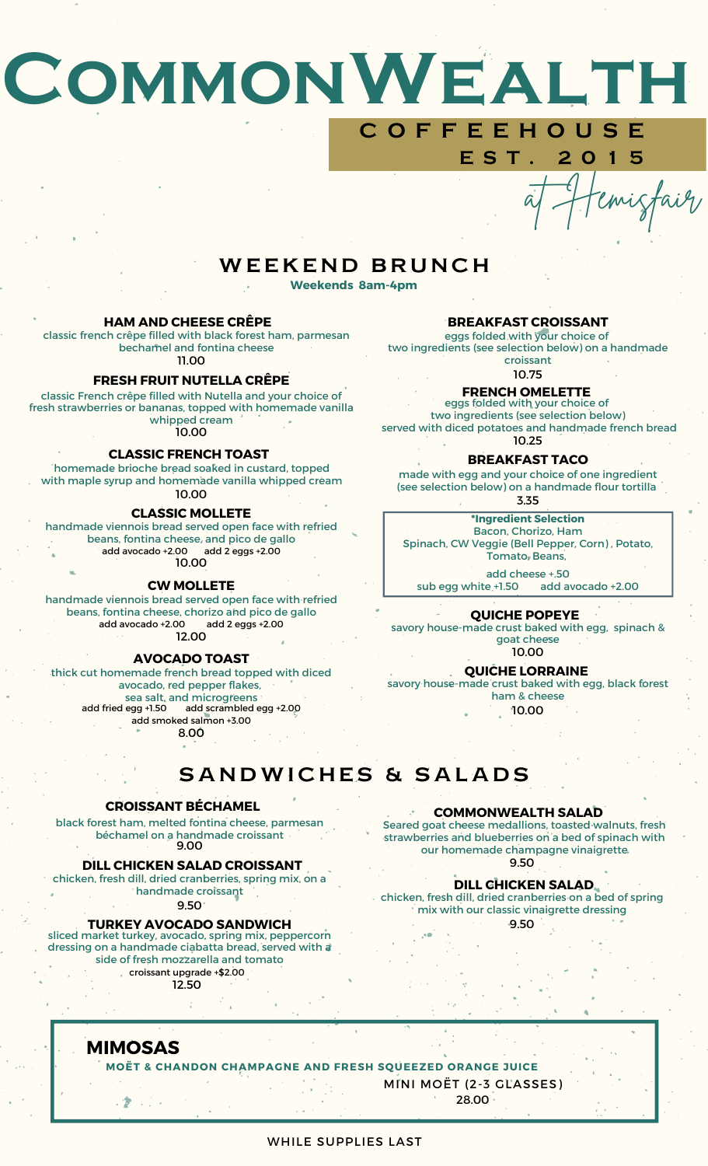# **CommonWealth C O F F E E H O U S E**

# WEEKEND BRUNCH **Weekends 8am-4pm**

### **HAM AND CHEESE CRÊPE**

classic french crêpe filled with black forest ham, parmesan bechamel and fontina cheese 11.00

### **FRESH FRUIT NUTELLA CRÊPE**

classic French crêpe filled with Nutella and your choice of fresh strawberries or bananas, topped with homemade vanilla whipped cream 10.00

### **CLASSIC FRENCH TOAST**

homemade brioche bread soaked in custard, topped with maple syrup and homemade vanilla whipped cream 10.00

#### **CLASSIC MOLLETE**

handmade viennois bread served open face with refried beans, fontina cheese, and pico de gallo add avocado +2.00 add 2 eggs +2.00 10.00

#### **CW MOLLETE**

handmade viennois bread served open face with refried beans, fontina cheese, chorizo and pico de gallo add avocado +2.00 add 2 eggs +2.00 12.00

#### **AVOCADO TOAST**

## thick cut homemade french bread topped with diced

avocado, red pepper flakes, sea salt, and microgreens<br>add fried egg +1.50 add scrambled e add scrambled egg +2.00 add smoked salmon +3.00 8.00

## **BREAKFAST CROISSANT**

**E S T . 2 0 1 5**

emisfair

eggs folded with your choice of two ingredients (see selection below) on a handmade croissant

10.75

# **FRENCH OMELETTE**

eggs folded with your choice of two ingredients (see selection below) served with diced potatoes and handmade french bread 10.25

### **BREAKFAST TACO**

3.35 made with egg and your choice of one ingredient (see selection below) on a handmade flour tortilla

**\*Ingredient Selection** Bacon, Chorizo, Ham Spinach, CW Veggie (Bell Pepper, Corn) , Potato, Tomato, Beans,

add cheese +.50 sub egg white +1.50 add avocado +2.00

### **QUICHE POPEYE**

savory house-made crust baked with egg, spinach & goat cheese 10.00

## **QUICHE LORRAINE**

savory house-made crust baked with egg, black forest ham & cheese 10.00

# SANDWICHES & SALADS

### **CROISSANT BÉCHAMEL**

black forest ham, melted fontina cheese, parmesan béchamel on a handmade croissant 9.00

#### **DILL CHICKEN SALAD CROISSANT**

chicken, fresh dill, dried cranberries, spring mix, on a handmade croissant

9.50

#### **TURKEY AVOCADO SANDWICH**

sliced market turkey, avocado, spring mix, peppercorn dressing on a handmade ciabatta bread, served with a side of fresh mozzarella and tomato croissant upgrade +\$2.00

12.50

## **COMMONWEALTH SALAD**

Seared goat cheese medallions, toasted walnuts, fresh strawberries and blueberries on a bed of spinach with our homemade champagne vinaigrette 9.50

# **DILL CHICKEN SALAD**

chicken, fresh dill, dried cranberries on a bed of spring mix with our classic vinaigrette dressing

9.50

# **MIMOSAS**

2巻 エクト

## **MOËT & CHANDON CHAMPAGNE AND FRESH SQUEEZED ORANGE JUICE**

MINI MOËT (2-3 GLASSES)

28.00

### WHILE SUPPLIES LAST